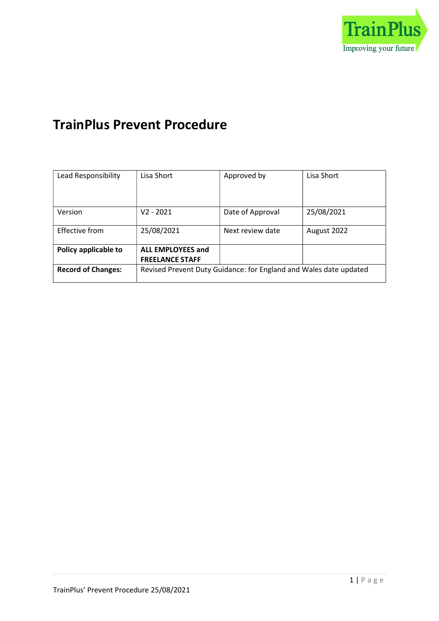

# TrainPlus Prevent Procedure

| Lead Responsibility       | Lisa Short                                                        | Approved by      | Lisa Short  |
|---------------------------|-------------------------------------------------------------------|------------------|-------------|
|                           |                                                                   |                  |             |
|                           |                                                                   |                  |             |
|                           |                                                                   |                  |             |
| Version                   | V2 - 2021                                                         | Date of Approval | 25/08/2021  |
|                           |                                                                   |                  |             |
| Effective from            | 25/08/2021                                                        | Next review date | August 2022 |
|                           |                                                                   |                  |             |
| Policy applicable to      | <b>ALL EMPLOYEES and</b>                                          |                  |             |
|                           | <b>FREELANCE STAFF</b>                                            |                  |             |
| <b>Record of Changes:</b> | Revised Prevent Duty Guidance: for England and Wales date updated |                  |             |
|                           |                                                                   |                  |             |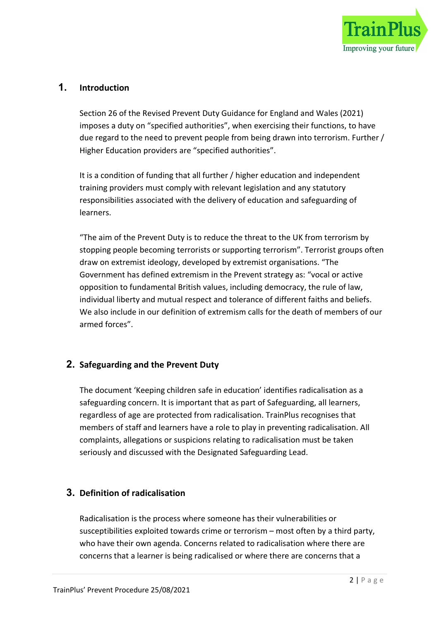

## 1. Introduction

Section 26 of the Revised Prevent Duty Guidance for England and Wales (2021) imposes a duty on "specified authorities", when exercising their functions, to have due regard to the need to prevent people from being drawn into terrorism. Further / Higher Education providers are "specified authorities".

It is a condition of funding that all further / higher education and independent training providers must comply with relevant legislation and any statutory responsibilities associated with the delivery of education and safeguarding of learners.

"The aim of the Prevent Duty is to reduce the threat to the UK from terrorism by stopping people becoming terrorists or supporting terrorism". Terrorist groups often draw on extremist ideology, developed by extremist organisations. "The Government has defined extremism in the Prevent strategy as: "vocal or active opposition to fundamental British values, including democracy, the rule of law, individual liberty and mutual respect and tolerance of different faiths and beliefs. We also include in our definition of extremism calls for the death of members of our armed forces".

## 2. Safeguarding and the Prevent Duty

The document 'Keeping children safe in education' identifies radicalisation as a safeguarding concern. It is important that as part of Safeguarding, all learners, regardless of age are protected from radicalisation. TrainPlus recognises that members of staff and learners have a role to play in preventing radicalisation. All complaints, allegations or suspicions relating to radicalisation must be taken seriously and discussed with the Designated Safeguarding Lead.

## 3. Definition of radicalisation

Radicalisation is the process where someone has their vulnerabilities or susceptibilities exploited towards crime or terrorism – most often by a third party, who have their own agenda. Concerns related to radicalisation where there are concerns that a learner is being radicalised or where there are concerns that a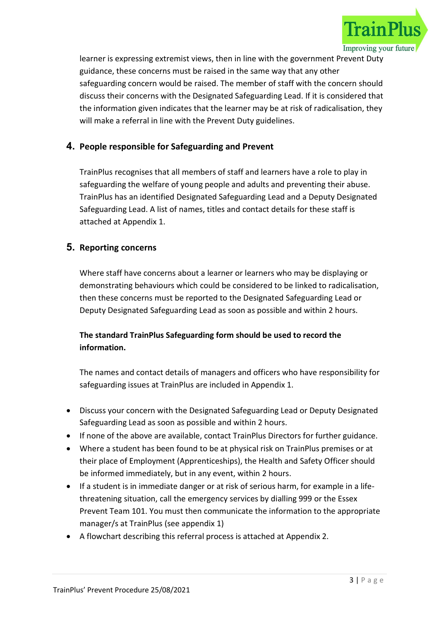

learner is expressing extremist views, then in line with the government Prevent Duty guidance, these concerns must be raised in the same way that any other safeguarding concern would be raised. The member of staff with the concern should discuss their concerns with the Designated Safeguarding Lead. If it is considered that the information given indicates that the learner may be at risk of radicalisation, they will make a referral in line with the Prevent Duty guidelines.

## 4. People responsible for Safeguarding and Prevent

TrainPlus recognises that all members of staff and learners have a role to play in safeguarding the welfare of young people and adults and preventing their abuse. TrainPlus has an identified Designated Safeguarding Lead and a Deputy Designated Safeguarding Lead. A list of names, titles and contact details for these staff is attached at Appendix 1.

#### 5. Reporting concerns

Where staff have concerns about a learner or learners who may be displaying or demonstrating behaviours which could be considered to be linked to radicalisation, then these concerns must be reported to the Designated Safeguarding Lead or Deputy Designated Safeguarding Lead as soon as possible and within 2 hours.

## The standard TrainPlus Safeguarding form should be used to record the information.

The names and contact details of managers and officers who have responsibility for safeguarding issues at TrainPlus are included in Appendix 1.

- Discuss your concern with the Designated Safeguarding Lead or Deputy Designated Safeguarding Lead as soon as possible and within 2 hours.
- If none of the above are available, contact TrainPlus Directors for further guidance.
- Where a student has been found to be at physical risk on TrainPlus premises or at their place of Employment (Apprenticeships), the Health and Safety Officer should be informed immediately, but in any event, within 2 hours.
- If a student is in immediate danger or at risk of serious harm, for example in a lifethreatening situation, call the emergency services by dialling 999 or the Essex Prevent Team 101. You must then communicate the information to the appropriate manager/s at TrainPlus (see appendix 1)
- A flowchart describing this referral process is attached at Appendix 2.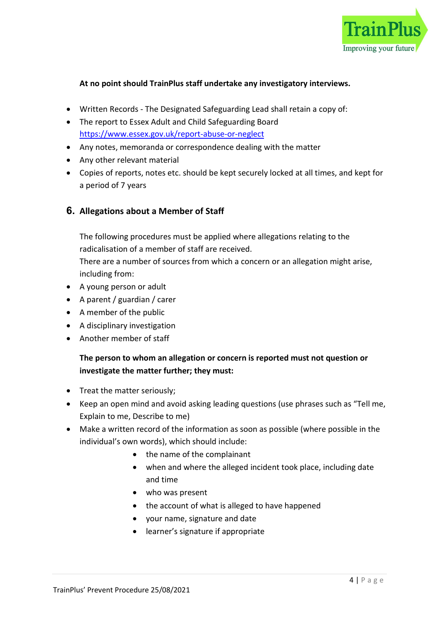

#### At no point should TrainPlus staff undertake any investigatory interviews.

- Written Records The Designated Safeguarding Lead shall retain a copy of:
- The report to Essex Adult and Child Safeguarding Board https://www.essex.gov.uk/report-abuse-or-neglect
- Any notes, memoranda or correspondence dealing with the matter
- Any other relevant material
- Copies of reports, notes etc. should be kept securely locked at all times, and kept for a period of 7 years

#### 6. Allegations about a Member of Staff

The following procedures must be applied where allegations relating to the radicalisation of a member of staff are received.

There are a number of sources from which a concern or an allegation might arise, including from:

- A young person or adult
- A parent / guardian / carer
- A member of the public
- A disciplinary investigation
- Another member of staff

#### The person to whom an allegation or concern is reported must not question or investigate the matter further; they must:

- Treat the matter seriously;
- Keep an open mind and avoid asking leading questions (use phrases such as "Tell me, Explain to me, Describe to me)
- Make a written record of the information as soon as possible (where possible in the individual's own words), which should include:
	- the name of the complainant
	- when and where the alleged incident took place, including date and time
	- who was present
	- the account of what is alleged to have happened
	- your name, signature and date
	- learner's signature if appropriate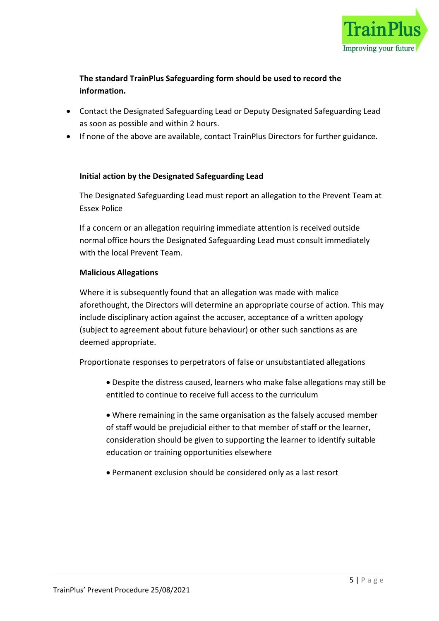

## The standard TrainPlus Safeguarding form should be used to record the information.

- Contact the Designated Safeguarding Lead or Deputy Designated Safeguarding Lead as soon as possible and within 2 hours.
- If none of the above are available, contact TrainPlus Directors for further guidance.

#### Initial action by the Designated Safeguarding Lead

The Designated Safeguarding Lead must report an allegation to the Prevent Team at Essex Police

If a concern or an allegation requiring immediate attention is received outside normal office hours the Designated Safeguarding Lead must consult immediately with the local Prevent Team.

#### Malicious Allegations

Where it is subsequently found that an allegation was made with malice aforethought, the Directors will determine an appropriate course of action. This may include disciplinary action against the accuser, acceptance of a written apology (subject to agreement about future behaviour) or other such sanctions as are deemed appropriate.

Proportionate responses to perpetrators of false or unsubstantiated allegations

- Despite the distress caused, learners who make false allegations may still be entitled to continue to receive full access to the curriculum
- Where remaining in the same organisation as the falsely accused member of staff would be prejudicial either to that member of staff or the learner, consideration should be given to supporting the learner to identify suitable education or training opportunities elsewhere
- Permanent exclusion should be considered only as a last resort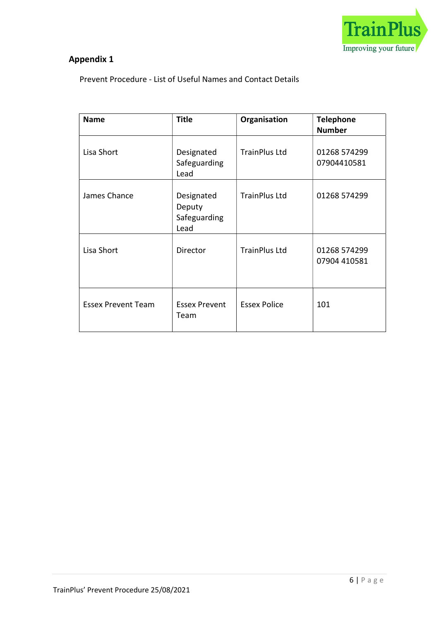

## Appendix 1

Prevent Procedure - List of Useful Names and Contact Details

| <b>Name</b>               | <b>Title</b>                                 | Organisation         | <b>Telephone</b><br><b>Number</b> |
|---------------------------|----------------------------------------------|----------------------|-----------------------------------|
| Lisa Short                | Designated<br>Safeguarding<br>Lead           | <b>TrainPlus Ltd</b> | 01268 574299<br>07904410581       |
| James Chance              | Designated<br>Deputy<br>Safeguarding<br>Lead | <b>TrainPlus Ltd</b> | 01268 574299                      |
| Lisa Short                | Director                                     | <b>TrainPlus Ltd</b> | 01268 574299<br>07904 410581      |
| <b>Essex Prevent Team</b> | <b>Essex Prevent</b><br>Team                 | <b>Essex Police</b>  | 101                               |